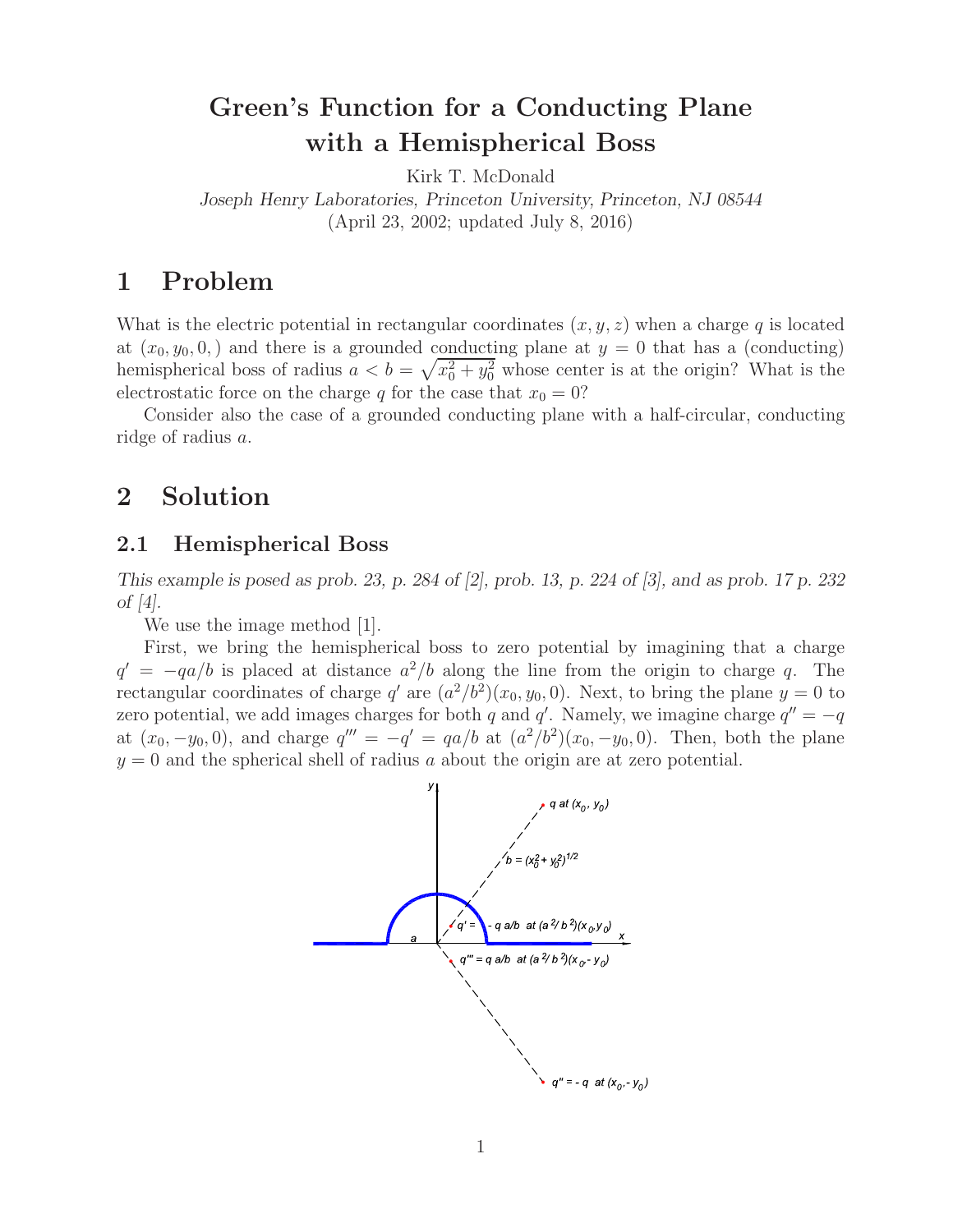# **Green's Function for a Conducting Plane with a Hemispherical Boss**

Kirk T. McDonald

*Joseph Henry Laboratories, Princeton University, Princeton, NJ 08544* (April 23, 2002; updated July 8, 2016)

## **1 Problem**

What is the electric potential in rectangular coordinates (*x, y, z*) when a charge *q* is located at  $(x_0, y_0, 0)$ , and there is a grounded conducting plane at  $y = 0$  that has a (conducting) hemispherical boss of radius  $a < b = \sqrt{x_0^2 + y_0^2}$  whose center is at the origin? What is the electrostatic force on the charge *q* for the case that  $x_0 = 0$ ?

Consider also the case of a grounded conducting plane with a half-circular, conducting ridge of radius *a*.

### **2 Solution**

#### **2.1 Hemispherical Boss**

*This example is posed as prob. 23, p. 284 of [2], prob. 13, p. 224 of [3], and as prob. 17 p. 232 of [4].*

We use the image method [1].

First, we bring the hemispherical boss to zero potential by imagining that a charge  $q' = -qa/b$  is placed at distance  $a^2/b$  along the line from the origin to charge *q*. The rectangular coordinates of charge *q*<sup>-</sup> are  $(a^2/b^2)(x_0, y_0, 0)$ . Next, to bring the plane  $y = 0$  to zero potential, we add images charges for both *q* and *q*'. Namely, we imagine charge  $q'' = -q$ at  $(x_0, -y_0, 0)$ , and charge  $q''' = -q' = qa/b$  at  $(a^2/b^2)(x_0, -y_0, 0)$ . Then, both the plane  $y = 0$  and the spherical shell of radius *a* about the origin are at zero potential.

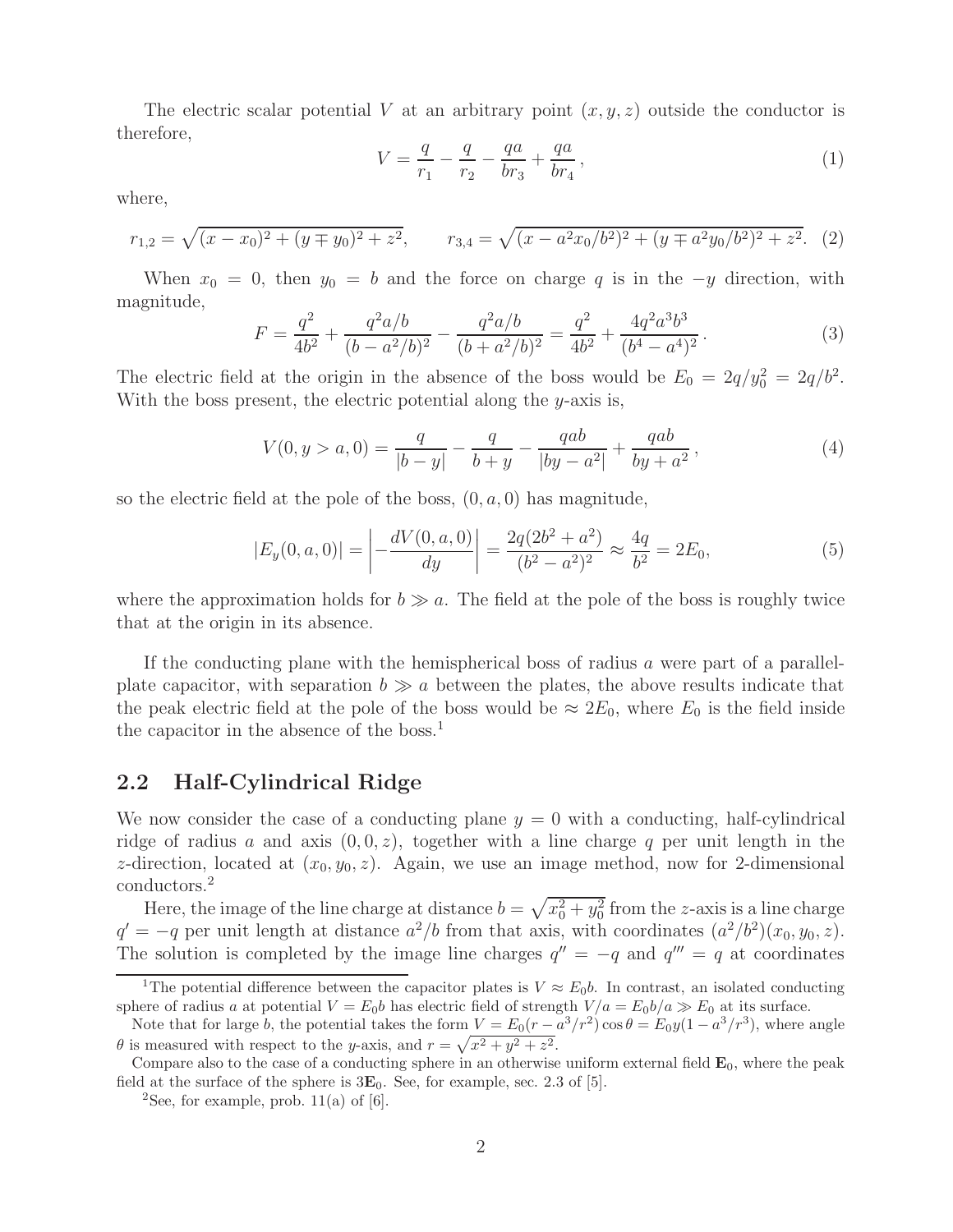The electric scalar potential V at an arbitrary point  $(x, y, z)$  outside the conductor is therefore,

$$
V = \frac{q}{r_1} - \frac{q}{r_2} - \frac{qa}{br_3} + \frac{qa}{br_4} \,,\tag{1}
$$

where,

$$
r_{1,2} = \sqrt{(x - x_0)^2 + (y \mp y_0)^2 + z^2}, \qquad r_{3,4} = \sqrt{(x - a^2 x_0/b^2)^2 + (y \mp a^2 y_0/b^2)^2 + z^2}.
$$
 (2)

When  $x_0 = 0$ , then  $y_0 = b$  and the force on charge q is in the  $-y$  direction, with magnitude,

$$
F = \frac{q^2}{4b^2} + \frac{q^2a/b}{(b - a^2/b)^2} - \frac{q^2a/b}{(b + a^2/b)^2} = \frac{q^2}{4b^2} + \frac{4q^2a^3b^3}{(b^4 - a^4)^2}.
$$
 (3)

The electric field at the origin in the absence of the boss would be  $E_0 = 2q/y_0^2 = 2q/b^2$ . With the boss present, the electric potential along the *y*-axis is,

$$
V(0, y > a, 0) = \frac{q}{|b - y|} - \frac{q}{b + y} - \frac{qab}{|by - a^2|} + \frac{qab}{by + a^2},
$$
\n(4)

so the electric field at the pole of the boss, (0*, a,* 0) has magnitude,

$$
|E_y(0, a, 0)| = \left| -\frac{dV(0, a, 0)}{dy} \right| = \frac{2q(2b^2 + a^2)}{(b^2 - a^2)^2} \approx \frac{4q}{b^2} = 2E_0,
$$
\n<sup>(5)</sup>

where the approximation holds for  $b \gg a$ . The field at the pole of the boss is roughly twice that at the origin in its absence.

If the conducting plane with the hemispherical boss of radius *a* were part of a parallelplate capacitor, with separation  $b \gg a$  between the plates, the above results indicate that the peak electric field at the pole of the boss would be  $\approx 2E_0$ , where  $E_0$  is the field inside the capacitor in the absence of the boss.<sup>1</sup>

#### **2.2 Half-Cylindrical Ridge**

We now consider the case of a conducting plane  $y = 0$  with a conducting, half-cylindrical ridge of radius *a* and axis  $(0,0,z)$ , together with a line charge *q* per unit length in the *z*-direction, located at  $(x_0, y_0, z)$ . Again, we use an image method, now for 2-dimensional conductors.<sup>2</sup>

Here, the image of the line charge at distance  $b = \sqrt{x_0^2 + y_0^2}$  from the *z*-axis is a line charge  $q' = -q$  per unit length at distance  $a^2/b$  from that axis, with coordinates  $(a^2/b^2)(x_0, y_0, z)$ . The solution is completed by the image line charges  $q'' = -q$  and  $q''' = q$  at coordinates

<sup>&</sup>lt;sup>1</sup>The potential difference between the capacitor plates is  $V \approx E_0 b$ . In contrast, an isolated conducting sphere of radius a at potential  $V = E_0 b$  has electric field of strength  $V/a = E_0 b/a \gg E_0$  at its surface.

Note that for large b, the potential takes the form  $V = E_0(r - a^3/r^2) \cos \theta = E_0 y (1 - a^3/r^3)$ , where angle  $\theta$  is measured with respect to the y-axis, and  $r = \sqrt{x^2 + y^2 + z^2}$ .

Compare also to the case of a conducting sphere in an otherwise uniform external field  $\mathbf{E}_0$ , where the peak field at the surface of the sphere is  $3\mathbf{E}_0$ . See, for example, sec. 2.3 of [5].

<sup>&</sup>lt;sup>2</sup>See, for example, prob.  $11(a)$  of [6].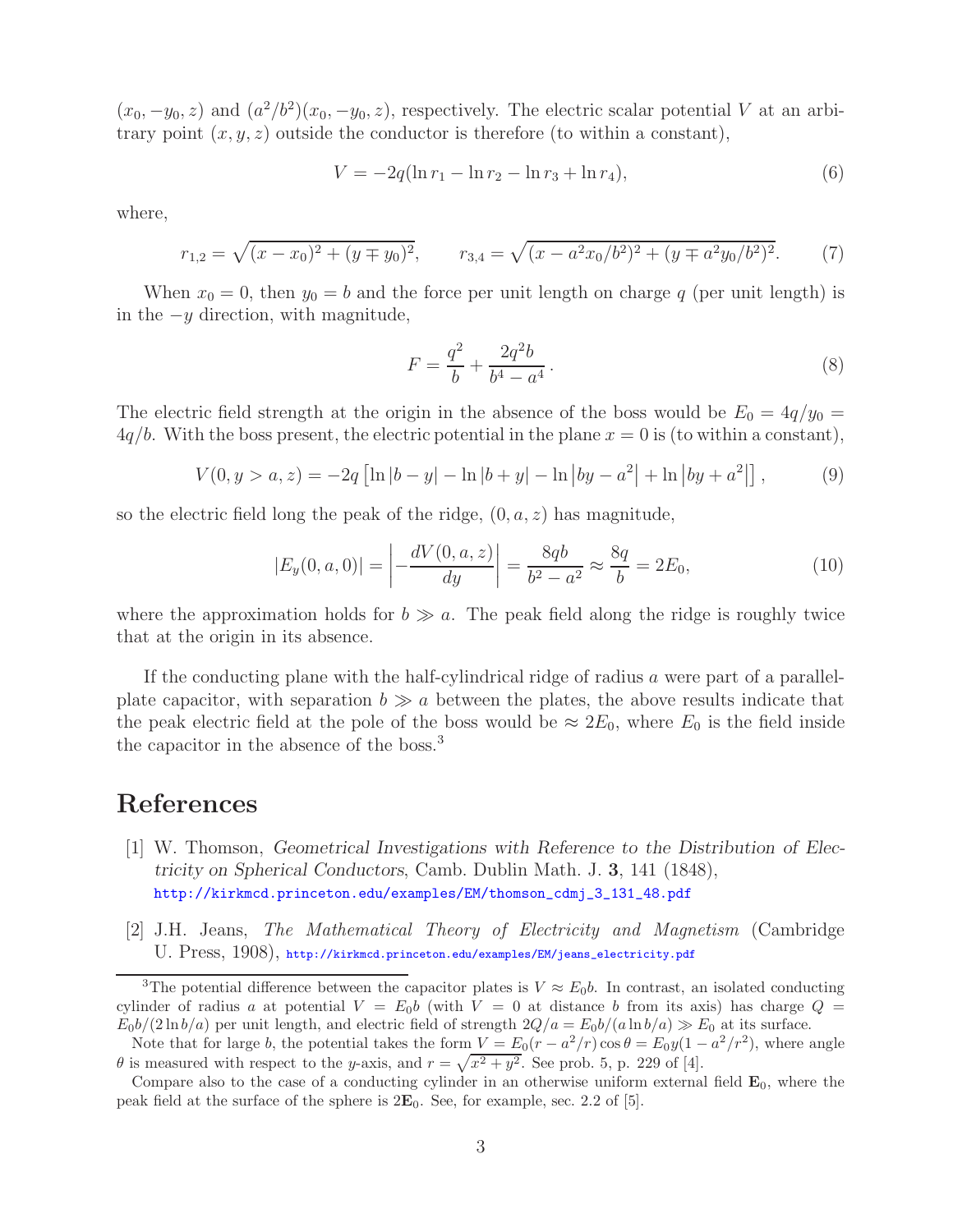$(x_0, -y_0, z)$  and  $(a^2/b^2)(x_0, -y_0, z)$ , respectively. The electric scalar potential *V* at an arbitrary point  $(x, y, z)$  outside the conductor is therefore (to within a constant),

$$
V = -2q(\ln r_1 - \ln r_2 - \ln r_3 + \ln r_4),\tag{6}
$$

where,

$$
r_{1,2} = \sqrt{(x - x_0)^2 + (y \mp y_0)^2}, \qquad r_{3,4} = \sqrt{(x - a^2 x_0/b^2)^2 + (y \mp a^2 y_0/b^2)^2}.
$$
 (7)

When  $x_0 = 0$ , then  $y_0 = b$  and the force per unit length on charge q (per unit length) is in the <sup>−</sup>*<sup>y</sup>* direction, with magnitude,

$$
F = \frac{q^2}{b} + \frac{2q^2b}{b^4 - a^4}.
$$
\n(8)

The electric field strength at the origin in the absence of the boss would be  $E_0 = 4q/y_0 =$  $4q/b$ . With the boss present, the electric potential in the plane  $x = 0$  is (to within a constant),

$$
V(0, y > a, z) = -2q \left[ \ln |b - y| - \ln |b + y| - \ln |by - a^2| + \ln |by + a^2| \right],
$$
 (9)

so the electric field long the peak of the ridge,  $(0, a, z)$  has magnitude,

$$
|E_y(0, a, 0)| = \left| -\frac{dV(0, a, z)}{dy} \right| = \frac{8qb}{b^2 - a^2} \approx \frac{8q}{b} = 2E_0,
$$
\n(10)

where the approximation holds for  $b \gg a$ . The peak field along the ridge is roughly twice that at the origin in its absence.

If the conducting plane with the half-cylindrical ridge of radius *a* were part of a parallelplate capacitor, with separation  $b \gg a$  between the plates, the above results indicate that the peak electric field at the pole of the boss would be  $\approx 2E_0$ , where  $E_0$  is the field inside the capacitor in the absence of the boss.<sup>3</sup>

### **References**

- [1] W. Thomson, *Geometrical Investigations with Reference to the Distribution of Electricity on Spherical Conductors*, Camb. Dublin Math. J. **3**, 141 (1848), http://kirkmcd.princeton.edu/examples/EM/thomson\_cdmj\_3\_131\_48.pdf
- [2] J.H. Jeans, *The Mathematical Theory of Electricity and Magnetism* (Cambridge U. Press, 1908), http://kirkmcd.princeton.edu/examples/EM/jeans\_electricity.pdf

<sup>&</sup>lt;sup>3</sup>The potential difference between the capacitor plates is  $V \approx E_0 b$ . In contrast, an isolated conducting cylinder of radius a at potential  $V = E_0 b$  (with  $V = 0$  at distance b from its axis) has charge  $Q =$  $E_0b/(2\ln b/a)$  per unit length, and electric field of strength  $2Q/a = E_0b/(a\ln b/a) \gg E_0$  at its surface.

Note that for large b, the potential takes the form  $V = E_0(r - a^2/r) \cos \theta = E_0 y(1 - a^2/r^2)$ , where angle  $\theta$  is measured with respect to the y-axis, and  $r = \sqrt{x^2 + y^2}$ . See prob. 5, p. 229 of [4].

Compare also to the case of a conducting cylinder in an otherwise uniform external field **E**0, where the peak field at the surface of the sphere is 2**E**0. See, for example, sec. 2.2 of [5].